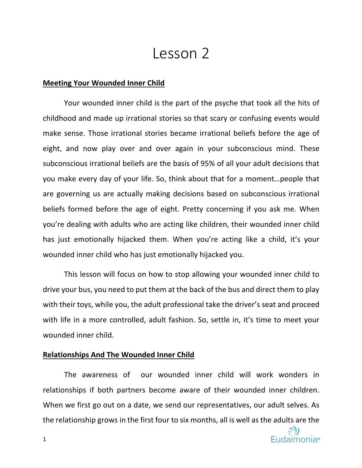# Lesson 2

#### **Meeting Your Wounded Inner Child**

Your wounded inner child is the part of the psyche that took all the hits of childhood and made up irrational stories so that scary or confusing events would make sense. Those irrational stories became irrational beliefs before the age of eight, and now play over and over again in your subconscious mind. These subconscious irrational beliefs are the basis of 95% of all your adult decisions that you make every day of your life. So, think about that for a moment…people that are governing us are actually making decisions based on subconscious irrational beliefs formed before the age of eight. Pretty concerning if you ask me. When you're dealing with adults who are acting like children, their wounded inner child has just emotionally hijacked them. When you're acting like a child, it's your wounded inner child who has just emotionally hijacked you.

This lesson will focus on how to stop allowing your wounded inner child to drive your bus, you need to put them at the back of the bus and direct them to play with their toys, while you, the adult professional take the driver's seat and proceed with life in a more controlled, adult fashion. So, settle in, it's time to meet your wounded inner child.

#### **Relationships And The Wounded Inner Child**

The awareness of our wounded inner child will work wonders in relationships if both partners become aware of their wounded inner children. When we first go out on a date, we send our representatives, our adult selves. As the relationship grows in the first four to six months, all is well as the adults are the

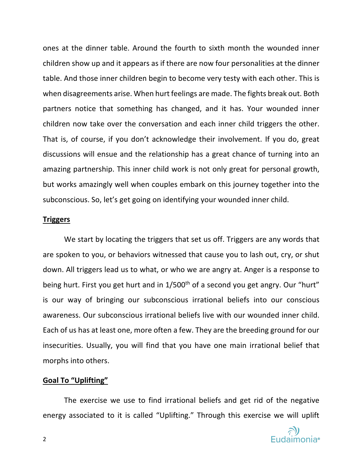ones at the dinner table. Around the fourth to sixth month the wounded inner children show up and it appears as if there are now four personalities at the dinner table. And those inner children begin to become very testy with each other. This is when disagreements arise. When hurt feelings are made. The fights break out. Both partners notice that something has changed, and it has. Your wounded inner children now take over the conversation and each inner child triggers the other. That is, of course, if you don't acknowledge their involvement. If you do, great discussions will ensue and the relationship has a great chance of turning into an amazing partnership. This inner child work is not only great for personal growth, but works amazingly well when couples embark on this journey together into the subconscious. So, let's get going on identifying your wounded inner child.

#### **Triggers**

We start by locating the triggers that set us off. Triggers are any words that are spoken to you, or behaviors witnessed that cause you to lash out, cry, or shut down. All triggers lead us to what, or who we are angry at. Anger is a response to being hurt. First you get hurt and in 1/500<sup>th</sup> of a second you get angry. Our "hurt" is our way of bringing our subconscious irrational beliefs into our conscious awareness. Our subconscious irrational beliefs live with our wounded inner child. Each of us has at least one, more often a few. They are the breeding ground for our insecurities. Usually, you will find that you have one main irrational belief that morphs into others.

## **Goal To "Uplifting"**

The exercise we use to find irrational beliefs and get rid of the negative energy associated to it is called "Uplifting." Through this exercise we will uplift

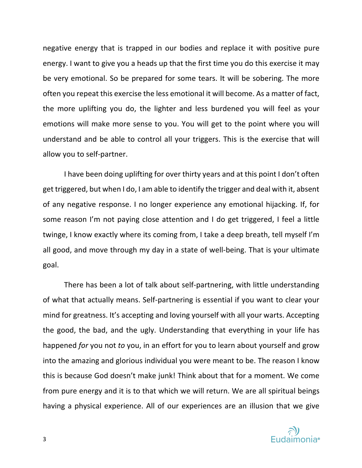negative energy that is trapped in our bodies and replace it with positive pure energy. I want to give you a heads up that the first time you do this exercise it may be very emotional. So be prepared for some tears. It will be sobering. The more often you repeat this exercise the less emotional it will become. As a matter of fact, the more uplifting you do, the lighter and less burdened you will feel as your emotions will make more sense to you. You will get to the point where you will understand and be able to control all your triggers. This is the exercise that will allow you to self-partner.

I have been doing uplifting for over thirty years and at this point I don't often get triggered, but when I do, I am able to identify the trigger and deal with it, absent of any negative response. I no longer experience any emotional hijacking. If, for some reason I'm not paying close attention and I do get triggered, I feel a little twinge, I know exactly where its coming from, I take a deep breath, tell myself I'm all good, and move through my day in a state of well-being. That is your ultimate goal.

There has been a lot of talk about self-partnering, with little understanding of what that actually means. Self-partnering is essential if you want to clear your mind for greatness. It's accepting and loving yourself with all your warts. Accepting the good, the bad, and the ugly. Understanding that everything in your life has happened *for* you not *to* you, in an effort for you to learn about yourself and grow into the amazing and glorious individual you were meant to be. The reason I know this is because God doesn't make junk! Think about that for a moment. We come from pure energy and it is to that which we will return. We are all spiritual beings having a physical experience. All of our experiences are an illusion that we give

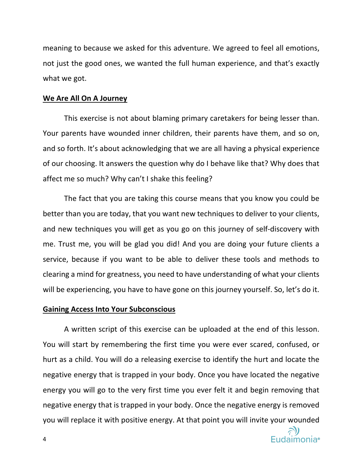meaning to because we asked for this adventure. We agreed to feel all emotions, not just the good ones, we wanted the full human experience, and that's exactly what we got.

#### **We Are All On A Journey**

This exercise is not about blaming primary caretakers for being lesser than. Your parents have wounded inner children, their parents have them, and so on, and so forth. It's about acknowledging that we are all having a physical experience of our choosing. It answers the question why do I behave like that? Why does that affect me so much? Why can't I shake this feeling?

The fact that you are taking this course means that you know you could be better than you are today, that you want new techniques to deliver to your clients, and new techniques you will get as you go on this journey of self-discovery with me. Trust me, you will be glad you did! And you are doing your future clients a service, because if you want to be able to deliver these tools and methods to clearing a mind for greatness, you need to have understanding of what your clients will be experiencing, you have to have gone on this journey yourself. So, let's do it.

## **Gaining Access Into Your Subconscious**

A written script of this exercise can be uploaded at the end of this lesson. You will start by remembering the first time you were ever scared, confused, or hurt as a child. You will do a releasing exercise to identify the hurt and locate the negative energy that is trapped in your body. Once you have located the negative energy you will go to the very first time you ever felt it and begin removing that negative energy that is trapped in your body. Once the negative energy is removed you will replace it with positive energy. At that point you will invite your wounded

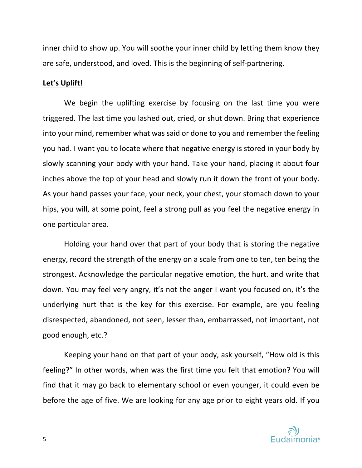inner child to show up. You will soothe your inner child by letting them know they are safe, understood, and loved. This is the beginning of self-partnering.

#### **Let's Uplift!**

We begin the uplifting exercise by focusing on the last time you were triggered. The last time you lashed out, cried, or shut down. Bring that experience into your mind, remember what was said or done to you and remember the feeling you had. I want you to locate where that negative energy is stored in your body by slowly scanning your body with your hand. Take your hand, placing it about four inches above the top of your head and slowly run it down the front of your body. As your hand passes your face, your neck, your chest, your stomach down to your hips, you will, at some point, feel a strong pull as you feel the negative energy in one particular area.

Holding your hand over that part of your body that is storing the negative energy, record the strength of the energy on a scale from one to ten, ten being the strongest. Acknowledge the particular negative emotion, the hurt. and write that down. You may feel very angry, it's not the anger I want you focused on, it's the underlying hurt that is the key for this exercise. For example, are you feeling disrespected, abandoned, not seen, lesser than, embarrassed, not important, not good enough, etc.?

Keeping your hand on that part of your body, ask yourself, "How old is this feeling?" In other words, when was the first time you felt that emotion? You will find that it may go back to elementary school or even younger, it could even be before the age of five. We are looking for any age prior to eight years old. If you

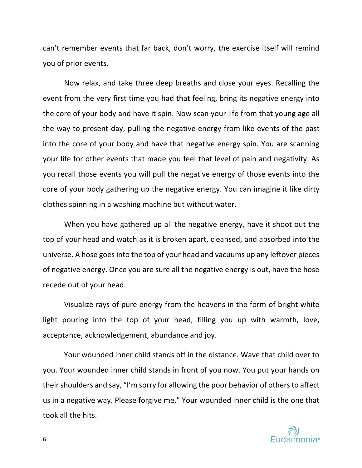can't remember events that far back, don't worry, the exercise itself will remind you of prior events.

Now relax, and take three deep breaths and close your eyes. Recalling the event from the very first time you had that feeling, bring its negative energy into the core of your body and have it spin. Now scan your life from that young age all the way to present day, pulling the negative energy from like events of the past into the core of your body and have that negative energy spin. You are scanning your life for other events that made you feel that level of pain and negativity. As you recall those events you will pull the negative energy of those events into the core of your body gathering up the negative energy. You can imagine it like dirty clothes spinning in a washing machine but without water.

When you have gathered up all the negative energy, have it shoot out the top of your head and watch as it is broken apart, cleansed, and absorbed into the universe. A hose goes into the top of your head and vacuums up any leftover pieces of negative energy. Once you are sure all the negative energy is out, have the hose recede out of your head.

Visualize rays of pure energy from the heavens in the form of bright white light pouring into the top of your head, filling you up with warmth, love, acceptance, acknowledgement, abundance and joy.

Your wounded inner child stands off in the distance. Wave that child over to you. Your wounded inner child stands in front of you now. You put your hands on their shoulders and say, "I'm sorry for allowing the poor behavior of others to affect us in a negative way. Please forgive me." Your wounded inner child is the one that took all the hits.

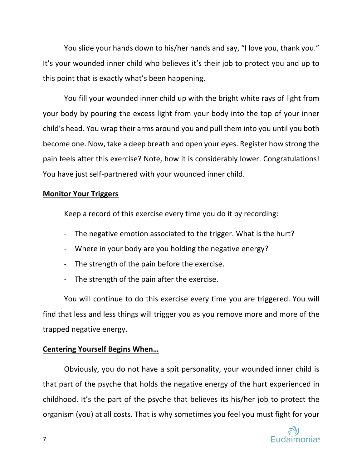You slide your hands down to his/her hands and say, "I love you, thank you." It's your wounded inner child who believes it's their job to protect you and up to this point that is exactly what's been happening.

You fill your wounded inner child up with the bright white rays of light from your body by pouring the excess light from your body into the top of your inner child's head. You wrap their arms around you and pull them into you until you both become one. Now, take a deep breath and open your eyes. Register how strong the pain feels after this exercise? Note, how it is considerably lower. Congratulations! You have just self-partnered with your wounded inner child.

# **Monitor Your Triggers**

Keep a record of this exercise every time you do it by recording:

- The negative emotion associated to the trigger. What is the hurt?
- Where in your body are you holding the negative energy?
- The strength of the pain before the exercise.
- The strength of the pain after the exercise.

You will continue to do this exercise every time you are triggered. You will find that less and less things will trigger you as you remove more and more of the trapped negative energy.

## **Centering Yourself Begins When…**

Obviously, you do not have a spit personality, your wounded inner child is that part of the psyche that holds the negative energy of the hurt experienced in childhood. It's the part of the psyche that believes its his/her job to protect the organism (you) at all costs. That is why sometimes you feel you must fight for your

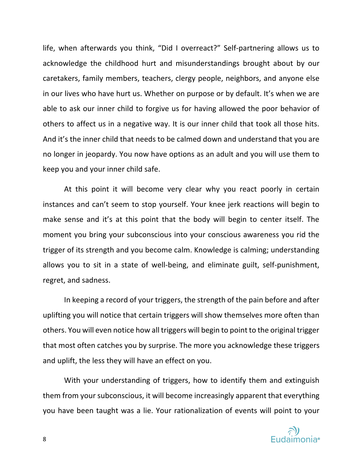life, when afterwards you think, "Did I overreact?" Self-partnering allows us to acknowledge the childhood hurt and misunderstandings brought about by our caretakers, family members, teachers, clergy people, neighbors, and anyone else in our lives who have hurt us. Whether on purpose or by default. It's when we are able to ask our inner child to forgive us for having allowed the poor behavior of others to affect us in a negative way. It is our inner child that took all those hits. And it's the inner child that needs to be calmed down and understand that you are no longer in jeopardy. You now have options as an adult and you will use them to keep you and your inner child safe.

At this point it will become very clear why you react poorly in certain instances and can't seem to stop yourself. Your knee jerk reactions will begin to make sense and it's at this point that the body will begin to center itself. The moment you bring your subconscious into your conscious awareness you rid the trigger of its strength and you become calm. Knowledge is calming; understanding allows you to sit in a state of well-being, and eliminate guilt, self-punishment, regret, and sadness.

In keeping a record of your triggers, the strength of the pain before and after uplifting you will notice that certain triggers will show themselves more often than others. You will even notice how all triggers will begin to point to the original trigger that most often catches you by surprise. The more you acknowledge these triggers and uplift, the less they will have an effect on you.

With your understanding of triggers, how to identify them and extinguish them from your subconscious, it will become increasingly apparent that everything you have been taught was a lie. Your rationalization of events will point to your

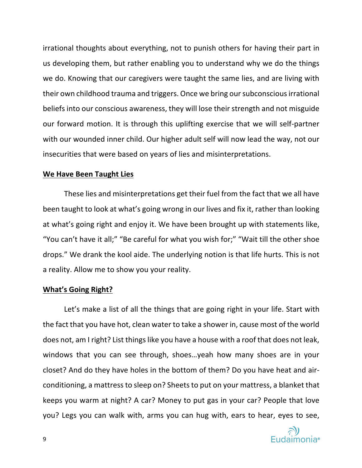irrational thoughts about everything, not to punish others for having their part in us developing them, but rather enabling you to understand why we do the things we do. Knowing that our caregivers were taught the same lies, and are living with their own childhood trauma and triggers. Once we bring our subconscious irrational beliefs into our conscious awareness, they will lose their strength and not misguide our forward motion. It is through this uplifting exercise that we will self-partner with our wounded inner child. Our higher adult self will now lead the way, not our insecurities that were based on years of lies and misinterpretations.

#### **We Have Been Taught Lies**

These lies and misinterpretations get their fuel from the fact that we all have been taught to look at what's going wrong in our lives and fix it, rather than looking at what's going right and enjoy it. We have been brought up with statements like, "You can't have it all;" "Be careful for what you wish for;" "Wait till the other shoe drops." We drank the kool aide. The underlying notion is that life hurts. This is not a reality. Allow me to show you your reality.

#### **What's Going Right?**

Let's make a list of all the things that are going right in your life. Start with the fact that you have hot, clean water to take a shower in, cause most of the world does not, am I right? List things like you have a house with a roof that does not leak, windows that you can see through, shoes…yeah how many shoes are in your closet? And do they have holes in the bottom of them? Do you have heat and airconditioning, a mattress to sleep on? Sheets to put on your mattress, a blanket that keeps you warm at night? A car? Money to put gas in your car? People that love you? Legs you can walk with, arms you can hug with, ears to hear, eyes to see,

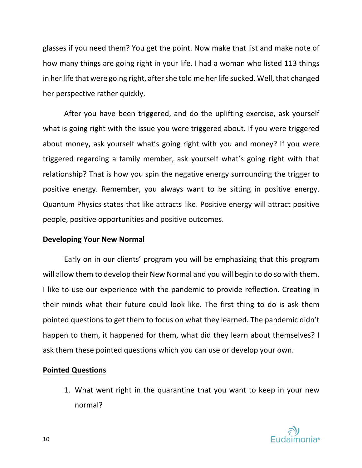glasses if you need them? You get the point. Now make that list and make note of how many things are going right in your life. I had a woman who listed 113 things in her life that were going right, after she told me her life sucked. Well, that changed her perspective rather quickly.

After you have been triggered, and do the uplifting exercise, ask yourself what is going right with the issue you were triggered about. If you were triggered about money, ask yourself what's going right with you and money? If you were triggered regarding a family member, ask yourself what's going right with that relationship? That is how you spin the negative energy surrounding the trigger to positive energy. Remember, you always want to be sitting in positive energy. Quantum Physics states that like attracts like. Positive energy will attract positive people, positive opportunities and positive outcomes.

## **Developing Your New Normal**

Early on in our clients' program you will be emphasizing that this program will allow them to develop their New Normal and you will begin to do so with them. I like to use our experience with the pandemic to provide reflection. Creating in their minds what their future could look like. The first thing to do is ask them pointed questions to get them to focus on what they learned. The pandemic didn't happen to them, it happened for them, what did they learn about themselves? I ask them these pointed questions which you can use or develop your own.

## **Pointed Questions**

1. What went right in the quarantine that you want to keep in your new normal?

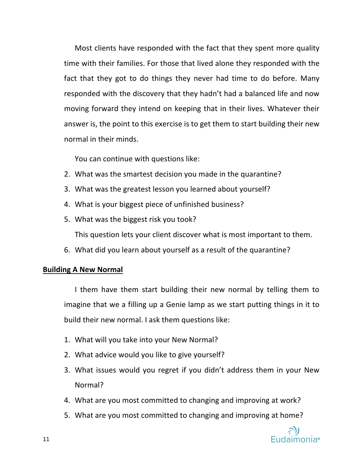Most clients have responded with the fact that they spent more quality time with their families. For those that lived alone they responded with the fact that they got to do things they never had time to do before. Many responded with the discovery that they hadn't had a balanced life and now moving forward they intend on keeping that in their lives. Whatever their answer is, the point to this exercise is to get them to start building their new normal in their minds.

You can continue with questions like:

- 2. What was the smartest decision you made in the quarantine?
- 3. What was the greatest lesson you learned about yourself?
- 4. What is your biggest piece of unfinished business?
- 5. What was the biggest risk you took? This question lets your client discover what is most important to them.
- 6. What did you learn about yourself as a result of the quarantine?

# **Building A New Normal**

I them have them start building their new normal by telling them to imagine that we a filling up a Genie lamp as we start putting things in it to build their new normal. I ask them questions like:

- 1. What will you take into your New Normal?
- 2. What advice would you like to give yourself?
- 3. What issues would you regret if you didn't address them in your New Normal?
- 4. What are you most committed to changing and improving at work?
- 5. What are you most committed to changing and improving at home?

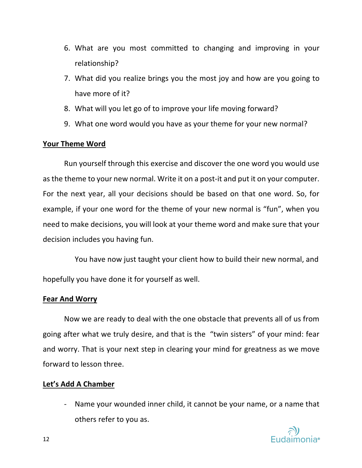- 6. What are you most committed to changing and improving in your relationship?
- 7. What did you realize brings you the most joy and how are you going to have more of it?
- 8. What will you let go of to improve your life moving forward?
- 9. What one word would you have as your theme for your new normal?

# **Your Theme Word**

Run yourself through this exercise and discover the one word you would use as the theme to your new normal. Write it on a post-it and put it on your computer. For the next year, all your decisions should be based on that one word. So, for example, if your one word for the theme of your new normal is "fun", when you need to make decisions, you will look at your theme word and make sure that your decision includes you having fun.

You have now just taught your client how to build their new normal, and hopefully you have done it for yourself as well.

## **Fear And Worry**

Now we are ready to deal with the one obstacle that prevents all of us from going after what we truly desire, and that is the "twin sisters" of your mind: fear and worry. That is your next step in clearing your mind for greatness as we move forward to lesson three.

# **Let's Add A Chamber**

- Name your wounded inner child, it cannot be your name, or a name that others refer to you as.